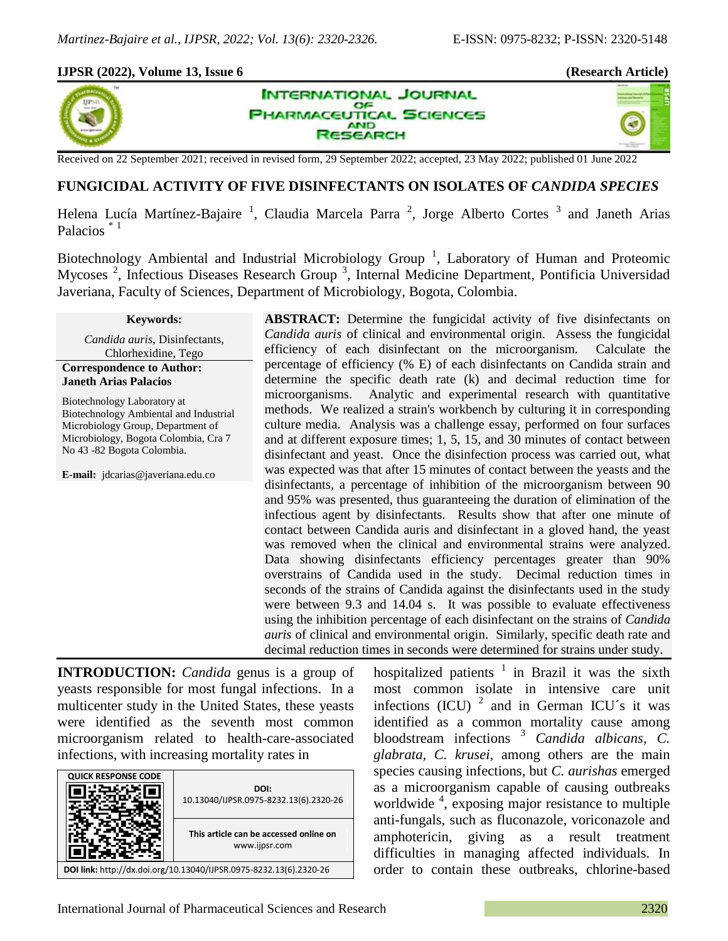## **IJPSR (2022), Volume 13, Issue 6 (Research Article)**



×,



Received on 22 September 2021; received in revised form, 29 September 2022; accepted, 23 May 2022; published 01 June 2022

# **FUNGICIDAL ACTIVITY OF FIVE DISINFECTANTS ON ISOLATES OF** *CANDIDA SPECIES*

Helena Lucía Martínez-Bajaire<sup>1</sup>, Claudia Marcela Parra<sup>2</sup>, Jorge Alberto Cortes<sup>3</sup> and Janeth Arias Palacios \* <sup>1</sup>

Biotechnology Ambiental and Industrial Microbiology Group<sup>1</sup>, Laboratory of Human and Proteomic Mycoses<sup>2</sup>, Infectious Diseases Research Group<sup>3</sup>, Internal Medicine Department, Pontificia Universidad Javeriana, Faculty of Sciences, Department of Microbiology, Bogota, Colombia.

#### **Keywords:**

*Candida auris*, Disinfectants, Chlorhexidine, Tego

### **Correspondence to Author: Janeth Arias Palacios**

Biotechnology Laboratory at Biotechnology Ambiental and Industrial Microbiology Group, Department of Microbiology, Bogota Colombia, Cra 7 No 43 -82 Bogota Colombia.

**E-mail:** jdcarias@javeriana.edu.co

**ABSTRACT:** Determine the fungicidal activity of five disinfectants on *Candida auris* of clinical and environmental origin. Assess the fungicidal efficiency of each disinfectant on the microorganism. Calculate the percentage of efficiency (% E) of each disinfectants on Candida strain and determine the specific death rate (k) and decimal reduction time for microorganisms. Analytic and experimental research with quantitative methods. We realized a strain's workbench by culturing it in corresponding culture media. Analysis was a challenge essay, performed on four surfaces and at different exposure times; 1, 5, 15, and 30 minutes of contact between disinfectant and yeast. Once the disinfection process was carried out, what was expected was that after 15 minutes of contact between the yeasts and the disinfectants, a percentage of inhibition of the microorganism between 90 and 95% was presented, thus guaranteeing the duration of elimination of the infectious agent by disinfectants. Results show that after one minute of contact between Candida auris and disinfectant in a gloved hand, the yeast was removed when the clinical and environmental strains were analyzed. Data showing disinfectants efficiency percentages greater than 90% overstrains of Candida used in the study. Decimal reduction times in seconds of the strains of Candida against the disinfectants used in the study were between 9.3 and 14.04 s. It was possible to evaluate effectiveness using the inhibition percentage of each disinfectant on the strains of *Candida auris* of clinical and environmental origin. Similarly, specific death rate and decimal reduction times in seconds were determined for strains under study.

**INTRODUCTION:** *Candida* genus is a group of yeasts responsible for most fungal infections. In a multicenter study in the United States, these yeasts were identified as the seventh most common microorganism related to health-care-associated infections, with increasing mortality rates in



hospitalized patients  $\frac{1}{1}$  in Brazil it was the sixth most common isolate in intensive care unit infections (ICU)  $^2$  and in German ICU's it was identified as a common mortality cause among bloodstream infections <sup>3</sup> *Candida albicans, C. glabrata, C. krusei,* among others are the main species causing infections, but *C. aurishas* emerged as a microorganism capable of causing outbreaks worldwide <sup>4</sup> , exposing major resistance to multiple anti-fungals, such as fluconazole, voriconazole and amphotericin, giving as a result treatment difficulties in managing affected individuals. In order to contain these outbreaks, chlorine-based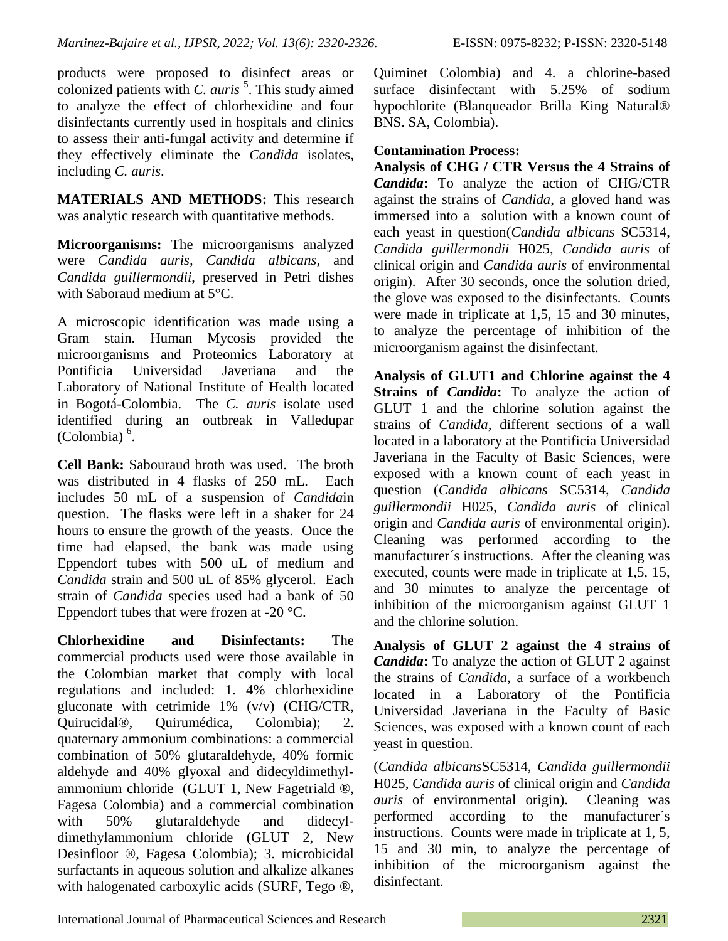products were proposed to disinfect areas or colonized patients with *C. auris*<sup>5</sup>. This study aimed to analyze the effect of chlorhexidine and four disinfectants currently used in hospitals and clinics to assess their anti-fungal activity and determine if

they effectively eliminate the *Candida* isolates, including *C. auris*.

**MATERIALS AND METHODS:** This research was analytic research with quantitative methods.

**Microorganisms:** The microorganisms analyzed were *Candida auris, Candida albicans,* and *Candida guillermondii*, preserved in Petri dishes with Saboraud medium at 5°C.

A microscopic identification was made using a Gram stain. Human Mycosis provided the microorganisms and Proteomics Laboratory at Pontificia Universidad Javeriana and the Laboratory of National Institute of Health located in Bogotá-Colombia. The *C. auris* isolate used identified during an outbreak in Valledupar  $(Colombia)$ <sup>6</sup>.

**Cell Bank:** Sabouraud broth was used. The broth was distributed in 4 flasks of 250 mL. Each includes 50 mL of a suspension of *Candida*in question. The flasks were left in a shaker for 24 hours to ensure the growth of the yeasts. Once the time had elapsed, the bank was made using Eppendorf tubes with 500 uL of medium and *Candida* strain and 500 uL of 85% glycerol. Each strain of *Candida* species used had a bank of 50 Eppendorf tubes that were frozen at -20 °C.

**Chlorhexidine and Disinfectants:** The commercial products used were those available in the Colombian market that comply with local regulations and included: 1. 4% chlorhexidine gluconate with cetrimide 1% (v/v) (CHG/CTR, Quirucidal®, Quirumédica, Colombia); 2. quaternary ammonium combinations: a commercial combination of 50% glutaraldehyde, 40% formic aldehyde and 40% glyoxal and didecyldimethylammonium chloride (GLUT 1, New Fagetriald ®, Fagesa Colombia) and a commercial combination with 50% glutaraldehyde and didecyldimethylammonium chloride (GLUT 2, New Desinfloor ®, Fagesa Colombia); 3. microbicidal surfactants in aqueous solution and alkalize alkanes with halogenated carboxylic acids (SURF, Tego ®, Quiminet Colombia) and 4. a chlorine-based surface disinfectant with 5.25% of sodium hypochlorite (Blanqueador Brilla King Natural® BNS. SA, Colombia).

## **Contamination Process:**

**Analysis of CHG / CTR Versus the 4 Strains of**  *Candida***:** To analyze the action of CHG/CTR against the strains of *Candida*, a gloved hand was immersed into a solution with a known count of each yeast in question(*Candida albicans* SC5314, *Candida guillermondii* H025, *Candida auris* of clinical origin and *Candida auris* of environmental origin). After 30 seconds, once the solution dried, the glove was exposed to the disinfectants. Counts were made in triplicate at 1,5, 15 and 30 minutes, to analyze the percentage of inhibition of the microorganism against the disinfectant.

**Analysis of GLUT1 and Chlorine against the 4 Strains of** *Candida***:** To analyze the action of GLUT 1 and the chlorine solution against the strains of *Candida*, different sections of a wall located in a laboratory at the Pontificia Universidad Javeriana in the Faculty of Basic Sciences, were exposed with a known count of each yeast in question (*Candida albicans* SC5314, *Candida guillermondii* H025, *Candida auris* of clinical origin and *Candida auris* of environmental origin). Cleaning was performed according to the manufacturer´s instructions. After the cleaning was executed, counts were made in triplicate at 1,5, 15, and 30 minutes to analyze the percentage of inhibition of the microorganism against GLUT 1 and the chlorine solution.

**Analysis of GLUT 2 against the 4 strains of**  *Candida***:** To analyze the action of GLUT 2 against the strains of *Candida*, a surface of a workbench located in a Laboratory of the Pontificia Universidad Javeriana in the Faculty of Basic Sciences, was exposed with a known count of each yeast in question.

(*Candida albicans*SC5314, *Candida guillermondii* H025, *Candida auris* of clinical origin and *Candida auris* of environmental origin). Cleaning was performed according to the manufacturer´s instructions. Counts were made in triplicate at 1, 5, 15 and 30 min, to analyze the percentage of inhibition of the microorganism against the disinfectant.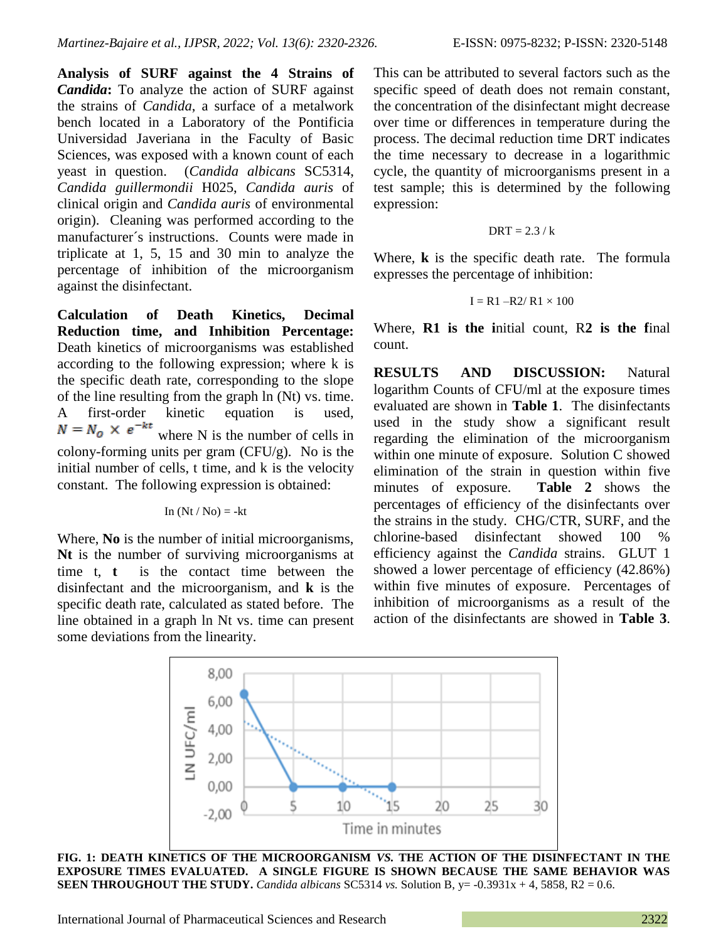**Analysis of SURF against the 4 Strains of**  *Candida***:** To analyze the action of SURF against the strains of *Candida*, a surface of a metalwork bench located in a Laboratory of the Pontificia Universidad Javeriana in the Faculty of Basic Sciences, was exposed with a known count of each yeast in question. (*Candida albicans* SC5314, *Candida guillermondii* H025, *Candida auris* of clinical origin and *Candida auris* of environmental origin). Cleaning was performed according to the manufacturer´s instructions. Counts were made in triplicate at 1, 5, 15 and 30 min to analyze the percentage of inhibition of the microorganism against the disinfectant.

**Calculation of Death Kinetics, Decimal Reduction time, and Inhibition Percentage:**  Death kinetics of microorganisms was established according to the following expression; where k is the specific death rate, corresponding to the slope of the line resulting from the graph ln (Nt) vs. time. A first-order kinetic equation is used, where N is the number of cells in colony-forming units per gram  $(CFU/g)$ . No is the initial number of cells, t time, and k is the velocity constant. The following expression is obtained:

$$
In (Nt / No) = -kt
$$

Where, **No** is the number of initial microorganisms, **Nt** is the number of surviving microorganisms at time t, **t** is the contact time between the disinfectant and the microorganism, and **k** is the specific death rate, calculated as stated before. The line obtained in a graph ln Nt vs. time can present some deviations from the linearity.

This can be attributed to several factors such as the specific speed of death does not remain constant, the concentration of the disinfectant might decrease over time or differences in temperature during the process. The decimal reduction time DRT indicates the time necessary to decrease in a logarithmic cycle, the quantity of microorganisms present in a test sample; this is determined by the following expression:

$$
DRT = 2.3 / k
$$

Where, **k** is the specific death rate. The formula expresses the percentage of inhibition:

$$
I = R1 - R2 / R1 \times 100
$$

Where, **R1 is the i**nitial count, R**2 is the f**inal count.

**RESULTS AND DISCUSSION:** Natural logarithm Counts of CFU/ml at the exposure times evaluated are shown in **Table 1**. The disinfectants used in the study show a significant result regarding the elimination of the microorganism within one minute of exposure. Solution C showed elimination of the strain in question within five minutes of exposure. **Table 2** shows the percentages of efficiency of the disinfectants over the strains in the study. CHG/CTR, SURF, and the chlorine-based disinfectant showed 100 % efficiency against the *Candida* strains. GLUT 1 showed a lower percentage of efficiency (42.86%) within five minutes of exposure. Percentages of inhibition of microorganisms as a result of the action of the disinfectants are showed in **Table 3**.



**FIG. 1: DEATH KINETICS OF THE MICROORGANISM** *VS.* **THE ACTION OF THE DISINFECTANT IN THE EXPOSURE TIMES EVALUATED. A SINGLE FIGURE IS SHOWN BECAUSE THE SAME BEHAVIOR WAS SEEN THROUGHOUT THE STUDY.** *Candida albicans* SC5314 *vs.* Solution B,  $y = -0.3931x + 4$ , 5858, R2 = 0.6.

International Journal of Pharmaceutical Sciences and Research 2322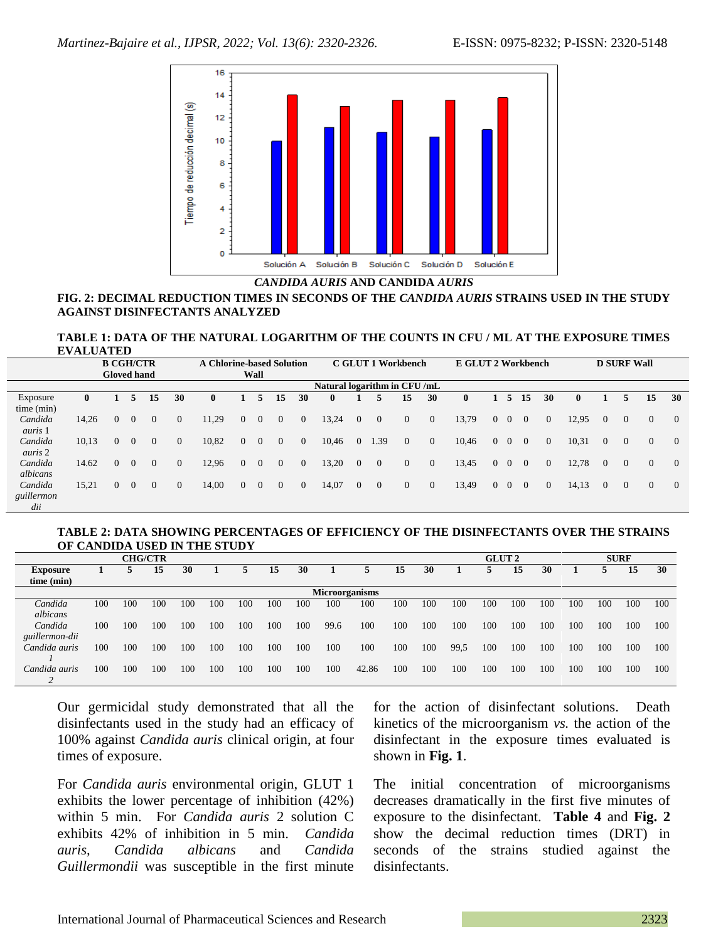

*CANDIDA AURIS* **AND CANDIDA** *AURIS*

#### **FIG. 2: DECIMAL REDUCTION TIMES IN SECONDS OF THE** *CANDIDA AURIS* **STRAINS USED IN THE STUDY AGAINST DISINFECTANTS ANALYZED**

#### **TABLE 1: DATA OF THE NATURAL LOGARITHM OF THE COUNTS IN CFU / ML AT THE EXPOSURE TIMES EVALUATED**

|                | <b>B CGH/CTR</b>            |          |          |          |          | <b>A Chlorine-based Solution</b> |                |              |          |                | C GLUT 1 Workbench |                |                |                |                | E GLUT 2 Workbench |          |                | <b>D SURF Wall</b> |                |       |          |                |                |                |
|----------------|-----------------------------|----------|----------|----------|----------|----------------------------------|----------------|--------------|----------|----------------|--------------------|----------------|----------------|----------------|----------------|--------------------|----------|----------------|--------------------|----------------|-------|----------|----------------|----------------|----------------|
|                | <b>Gloved hand</b>          |          |          |          |          | Wall                             |                |              |          |                |                    |                |                |                |                |                    |          |                |                    |                |       |          |                |                |                |
|                | Natural logarithm in CFU/mL |          |          |          |          |                                  |                |              |          |                |                    |                |                |                |                |                    |          |                |                    |                |       |          |                |                |                |
| Exposure       | $\mathbf{0}$                |          |          | 15       | 30       | $\mathbf{0}$                     |                | 5            | 15       | 30             |                    |                |                | 15             | 30             | $\bf{0}$           |          | 5              | 15                 | 30             | 0     |          |                | 15             | 30             |
| time (min)     |                             |          |          |          |          |                                  |                |              |          |                |                    |                |                |                |                |                    |          |                |                    |                |       |          |                |                |                |
| Candida        | 14.26                       | $\Omega$ | $\Omega$ | $\Omega$ | $\theta$ | 11,29                            | $\Omega$       | $\theta$     | $\theta$ | $\overline{0}$ | 13,24              | $\overline{0}$ | $\overline{0}$ | $\overline{0}$ | $\mathbf{0}$   | 13,79              | $\Omega$ | $\Omega$       | $\overline{0}$     | $\Omega$       | 12.95 | $\Omega$ | $\Omega$       | $\mathbf{0}$   | $\overline{0}$ |
| <i>auris</i> 1 |                             |          |          |          |          |                                  |                |              |          |                |                    |                |                |                |                |                    |          |                |                    |                |       |          |                |                |                |
| Candida        | 10,13                       | $\Omega$ | $\Omega$ | $\Omega$ | $\theta$ | 10,82                            | $\Omega$       | $\Omega$     | $\theta$ | $\overline{0}$ | 10,46              | $\overline{0}$ | 1.39           | $\overline{0}$ | $\mathbf{0}$   | 10,46              | $\Omega$ | $\Omega$       | $\overline{0}$     | $\theta$       | 10,31 | $\Omega$ | $\overline{0}$ | $\overline{0}$ | $\overline{0}$ |
| auris 2        |                             |          |          |          |          |                                  |                |              |          |                |                    |                |                |                |                |                    |          |                |                    |                |       |          |                |                |                |
| Candida        | 14.62                       | $\Omega$ | $\Omega$ | $\Omega$ | $\theta$ | 12,96                            | $\Omega$       | $\theta$     | $\theta$ | $\overline{0}$ | 13,20              | $\overline{0}$ | $\overline{0}$ | $\overline{0}$ | $\overline{0}$ | 13,45              | $\Omega$ | $\Omega$       | $\overline{0}$     | $\overline{0}$ | 12,78 | $\Omega$ | $\overline{0}$ | $\overline{0}$ | $\overline{0}$ |
| albicans       |                             |          |          |          |          |                                  |                |              |          |                |                    |                |                |                |                |                    |          |                |                    |                |       |          |                |                |                |
| Candida        | 15.21                       | 0        | $\Omega$ | $\Omega$ | $\theta$ | 14,00                            | $\overline{0}$ | $\mathbf{0}$ | $\theta$ | $\overline{0}$ | 14,07              | $\overline{0}$ | $\overline{0}$ | $\overline{0}$ | $\mathbf{0}$   | 13,49              | $\Omega$ | $\overline{0}$ | $\overline{0}$     | $\overline{0}$ | 14,13 | $\Omega$ | $\overline{0}$ | $\mathbf{0}$   | $\overline{0}$ |
| guillermon     |                             |          |          |          |          |                                  |                |              |          |                |                    |                |                |                |                |                    |          |                |                    |                |       |          |                |                |                |
| dii            |                             |          |          |          |          |                                  |                |              |          |                |                    |                |                |                |                |                    |          |                |                    |                |       |          |                |                |                |

### **TABLE 2: DATA SHOWING PERCENTAGES OF EFFICIENCY OF THE DISINFECTANTS OVER THE STRAINS OF CANDIDA USED IN THE STUDY**

| <b>CHG/CTR</b>        |     |     |     |     |     |     |     |     |      |       |     |     |      | <b>GLUT 2</b> |     |     | <b>SURF</b> |     |     |     |  |
|-----------------------|-----|-----|-----|-----|-----|-----|-----|-----|------|-------|-----|-----|------|---------------|-----|-----|-------------|-----|-----|-----|--|
| <b>Exposure</b>       |     |     | 15  | 30  |     | 5.  | 15  | 30  |      |       | 15  | 30  |      |               | 15  | 30  |             |     | 15  | 30  |  |
| time (min)            |     |     |     |     |     |     |     |     |      |       |     |     |      |               |     |     |             |     |     |     |  |
| <b>Microorganisms</b> |     |     |     |     |     |     |     |     |      |       |     |     |      |               |     |     |             |     |     |     |  |
| Candida               | 100 | 100 | 100 | 100 | 100 | 100 | 100 | 100 | 100  | 100   | 100 | 100 | 100  | 100           | 100 | 100 | 100         | 100 | 100 | 100 |  |
| albicans              |     |     |     |     |     |     |     |     |      |       |     |     |      |               |     |     |             |     |     |     |  |
| Candida               | 100 | 100 | 100 | 100 | 100 | 100 | 100 | 100 | 99.6 | 100   | 100 | 100 | 100  | 100           | 100 | 100 | 100         | 100 | 100 | 100 |  |
| guillermon-dii        |     |     |     |     |     |     |     |     |      |       |     |     |      |               |     |     |             |     |     |     |  |
| Candida auris         | 100 | 100 | 100 | 100 | 100 | 100 | 100 | 100 | 100  | 100   | 100 | 100 | 99,5 | 100           | 100 | 100 | 100         | 100 | 100 | 100 |  |
|                       |     |     |     |     |     |     |     |     |      |       |     |     |      |               |     |     |             |     |     |     |  |
| Candida auris         | 100 | 100 | 100 | 100 | 100 | 100 | 100 | 100 | 100  | 42.86 | 100 | 100 | 100  | 100           | 100 | 100 | 100         | 100 | 100 | 100 |  |
|                       |     |     |     |     |     |     |     |     |      |       |     |     |      |               |     |     |             |     |     |     |  |

Our germicidal study demonstrated that all the disinfectants used in the study had an efficacy of 100% against *Candida auris* clinical origin, at four times of exposure.

 $\overline{\phantom{a}}$ 

For *Candida auris* environmental origin, GLUT 1 exhibits the lower percentage of inhibition (42%) within 5 min. For *Candida auris* 2 solution C exhibits 42% of inhibition in 5 min. *Candida auris, Candida albicans* and *Candida Guillermondii* was susceptible in the first minute for the action of disinfectant solutions. Death kinetics of the microorganism *vs.* the action of the disinfectant in the exposure times evaluated is shown in **Fig. 1**.

The initial concentration of microorganisms decreases dramatically in the first five minutes of exposure to the disinfectant. **Table 4** and **Fig. 2** show the decimal reduction times (DRT) in seconds of the strains studied against the disinfectants.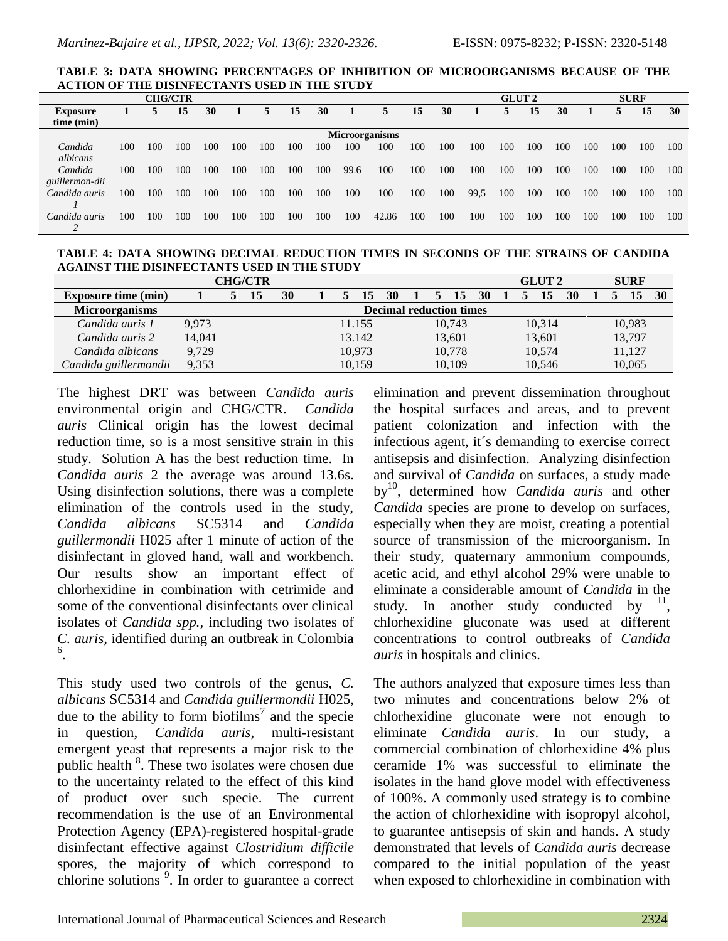**TABLE 3: DATA SHOWING PERCENTAGES OF INHIBITION OF MICROORGANISMS BECAUSE OF THE ACTION OF THE DISINFECTANTS USED IN THE STUDY**

|                       |     |     | <b>CHG/CTR</b> |     |     |     |     |     |      |       |     |     |      | <b>GLUT 2</b> |     |     | <b>SURF</b> |     |     |     |  |
|-----------------------|-----|-----|----------------|-----|-----|-----|-----|-----|------|-------|-----|-----|------|---------------|-----|-----|-------------|-----|-----|-----|--|
| <b>Exposure</b>       |     |     | 15             | 30  |     | 5   | 15  | 30  |      | 5.    | 15  | 30  |      | 5.            | 15  | 30  |             | 5   | 15  | 30  |  |
| time (min)            |     |     |                |     |     |     |     |     |      |       |     |     |      |               |     |     |             |     |     |     |  |
| <b>Microorganisms</b> |     |     |                |     |     |     |     |     |      |       |     |     |      |               |     |     |             |     |     |     |  |
| Candida               | 100 | 100 | 100            | 100 | 100 | 100 | 100 | 100 | 100  | 100   | 100 | 100 | 100  | 100           | 100 | 100 | 100         | 100 | 100 | 100 |  |
| albicans              |     |     |                |     |     |     |     |     |      |       |     |     |      |               |     |     |             |     |     |     |  |
| Candida               | 100 | 100 | 100            | 100 | 100 | 100 | 100 | 100 | 99.6 | 100   | 100 | 100 | 100  | 100           | 100 | 100 | 100         | 100 | 100 | 100 |  |
| guillermon-dii        |     |     |                |     |     |     |     |     |      |       |     |     |      |               |     |     |             |     |     |     |  |
| Candida auris         | 100 | 100 | 100            | 100 | 100 | 100 | 100 | 100 | 100  | 100   | 100 | 100 | 99.5 | 100           | 100 | 100 | 100         | 100 | 100 | 100 |  |
|                       |     |     |                |     |     |     |     |     |      |       |     |     |      |               |     |     |             |     |     |     |  |
| Candida auris         | 100 | 100 | 100            | 100 | 100 | 100 | 100 | 100 | 100  | 42.86 | 100 | 100 | 100  | 100           | 100 | 100 | 100         | 100 | 100 | 100 |  |
|                       |     |     |                |     |     |     |     |     |      |       |     |     |      |               |     |     |             |     |     |     |  |

**TABLE 4: DATA SHOWING DECIMAL REDUCTION TIMES IN SECONDS OF THE STRAINS OF CANDIDA AGAINST THE DISINFECTANTS USED IN THE STUDY**

| <b>CHG/CTR</b>             |                                |  |    |    |  |  |        |    |        |    |        |    |  |    | <b>GLUT 2</b> |    | <b>SURF</b> |  |        |    |
|----------------------------|--------------------------------|--|----|----|--|--|--------|----|--------|----|--------|----|--|----|---------------|----|-------------|--|--------|----|
| <b>Exposure time (min)</b> |                                |  | 15 | 30 |  |  | 15     | 30 |        | 5. | 15     | 30 |  | C. | 15            | 30 |             |  | 15     | 30 |
| <b>Microorganisms</b>      | <b>Decimal reduction times</b> |  |    |    |  |  |        |    |        |    |        |    |  |    |               |    |             |  |        |    |
| Candida auris 1            | 9.973                          |  |    |    |  |  | 11.155 |    |        |    | 10.743 |    |  |    | 10,314        |    |             |  | 10,983 |    |
| Candida auris 2            | 14,041                         |  |    |    |  |  | 13.142 |    | 13,601 |    |        |    |  |    | 13,601        |    | 13,797      |  |        |    |
| Candida albicans           | 9.729                          |  |    |    |  |  | 10.973 |    |        |    | 10,778 |    |  |    | 10,574        |    |             |  | 11,127 |    |
| Candida guillermondii      | 9,353                          |  |    |    |  |  | 10.159 |    |        |    | 10,109 |    |  |    | 10,546        |    |             |  | 10,065 |    |

The highest DRT was between *Candida auris* environmental origin and CHG/CTR. *Candida auris* Clinical origin has the lowest decimal reduction time, so is a most sensitive strain in this study. Solution A has the best reduction time. In *Candida auris* 2 the average was around 13.6s. Using disinfection solutions, there was a complete elimination of the controls used in the study, *Candida albicans* SC5314 and *Candida guillermondii* H025 after 1 minute of action of the disinfectant in gloved hand, wall and workbench. Our results show an important effect of chlorhexidine in combination with cetrimide and some of the conventional disinfectants over clinical isolates of *Candida spp.,* including two isolates of *C. auris,* identified during an outbreak in Colombia 6 .

This study used two controls of the genus, *C. albicans* SC5314 and *Candida guillermondii* H025, due to the ability to form biofilms<sup>7</sup> and the specie in question, *Candida auris*, multi-resistant emergent yeast that represents a major risk to the public health <sup>8</sup>. These two isolates were chosen due to the uncertainty related to the effect of this kind of product over such specie. The current recommendation is the use of an Environmental Protection Agency (EPA)-registered hospital-grade disinfectant effective against *Clostridium difficile* spores, the majority of which correspond to chlorine solutions <sup>9</sup> . In order to guarantee a correct elimination and prevent dissemination throughout the hospital surfaces and areas, and to prevent patient colonization and infection with the infectious agent, it´s demanding to exercise correct antisepsis and disinfection. Analyzing disinfection and survival of *Candida* on surfaces, a study made by<sup>10</sup>, determined how *Candida auris* and other *Candida* species are prone to develop on surfaces, especially when they are moist, creating a potential source of transmission of the microorganism. In their study, quaternary ammonium compounds, acetic acid, and ethyl alcohol 29% were unable to eliminate a considerable amount of *Candida* in the study. In another study conducted by  $11$ , chlorhexidine gluconate was used at different concentrations to control outbreaks of *Candida auris* in hospitals and clinics.

The authors analyzed that exposure times less than two minutes and concentrations below 2% of chlorhexidine gluconate were not enough to eliminate *Candida auris*. In our study, a commercial combination of chlorhexidine 4% plus ceramide 1% was successful to eliminate the isolates in the hand glove model with effectiveness of 100%. A commonly used strategy is to combine the action of chlorhexidine with isopropyl alcohol, to guarantee antisepsis of skin and hands. A study demonstrated that levels of *Candida auris* decrease compared to the initial population of the yeast when exposed to chlorhexidine in combination with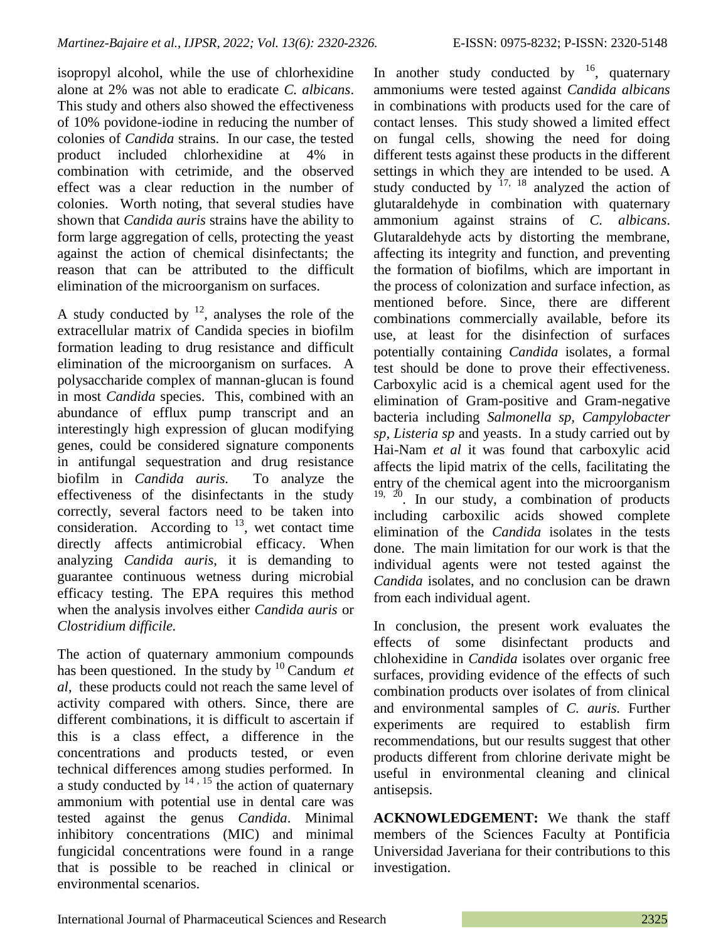isopropyl alcohol, while the use of chlorhexidine alone at 2% was not able to eradicate *C. albicans*. This study and others also showed the effectiveness of 10% povidone-iodine in reducing the number of colonies of *Candida* strains. In our case, the tested product included chlorhexidine at 4% in combination with cetrimide, and the observed effect was a clear reduction in the number of colonies. Worth noting, that several studies have shown that *Candida auris* strains have the ability to form large aggregation of cells, protecting the yeast against the action of chemical disinfectants; the reason that can be attributed to the difficult elimination of the microorganism on surfaces.

A study conducted by  $12$ , analyses the role of the extracellular matrix of Candida species in biofilm formation leading to drug resistance and difficult elimination of the microorganism on surfaces. A polysaccharide complex of mannan-glucan is found in most *Candida* species. This, combined with an abundance of efflux pump transcript and an interestingly high expression of glucan modifying genes, could be considered signature components in antifungal sequestration and drug resistance biofilm in *Candida auris.* To analyze the effectiveness of the disinfectants in the study correctly, several factors need to be taken into consideration. According to  $^{13}$ , wet contact time directly affects antimicrobial efficacy. When analyzing *Candida auris*, it is demanding to guarantee continuous wetness during microbial efficacy testing. The EPA requires this method when the analysis involves either *Candida auris* or *Clostridium difficile.*

The action of quaternary ammonium compounds has been questioned. In the study by  $10$  Candum *et al*, these products could not reach the same level of activity compared with others. Since, there are different combinations, it is difficult to ascertain if this is a class effect, a difference in the concentrations and products tested, or even technical differences among studies performed. In a study conducted by  $14$ ,  $15$  the action of quaternary ammonium with potential use in dental care was tested against the genus *Candida*. Minimal inhibitory concentrations (MIC) and minimal fungicidal concentrations were found in a range that is possible to be reached in clinical or environmental scenarios.

In another study conducted by  $\frac{16}{16}$ , quaternary ammoniums were tested against *Candida albicans*  in combinations with products used for the care of contact lenses. This study showed a limited effect on fungal cells, showing the need for doing different tests against these products in the different settings in which they are intended to be used. A study conducted by  $17, 18$  analyzed the action of glutaraldehyde in combination with quaternary ammonium against strains of *C. albicans*. Glutaraldehyde acts by distorting the membrane, affecting its integrity and function, and preventing the formation of biofilms, which are important in the process of colonization and surface infection, as mentioned before. Since, there are different combinations commercially available, before its use, at least for the disinfection of surfaces potentially containing *Candida* isolates, a formal test should be done to prove their effectiveness. Carboxylic acid is a chemical agent used for the elimination of Gram-positive and Gram-negative bacteria including *Salmonella sp, Campylobacter sp, Listeria sp* and yeasts. In a study carried out by Hai-Nam *et al* it was found that carboxylic acid affects the lipid matrix of the cells, facilitating the entry of the chemical agent into the microorganism  $19, 20$ . In our study, a combination of products including carboxilic acids showed complete elimination of the *Candida* isolates in the tests done. The main limitation for our work is that the individual agents were not tested against the *Candida* isolates, and no conclusion can be drawn from each individual agent.

In conclusion, the present work evaluates the effects of some disinfectant products and chlohexidine in *Candida* isolates over organic free surfaces, providing evidence of the effects of such combination products over isolates of from clinical and environmental samples of *C. auris.* Further experiments are required to establish firm recommendations, but our results suggest that other products different from chlorine derivate might be useful in environmental cleaning and clinical antisepsis.

**ACKNOWLEDGEMENT:** We thank the staff members of the Sciences Faculty at Pontificia Universidad Javeriana for their contributions to this investigation.